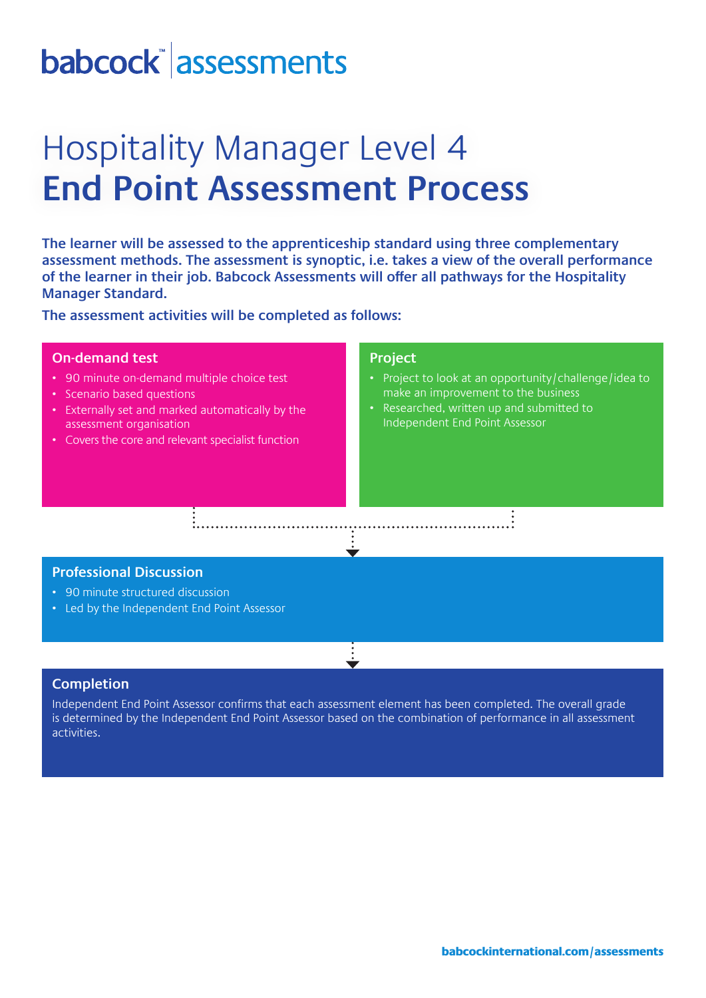# babcock assessments

## Hospitality Manager Level 4 **End Point Assessment Process**

**The learner will be assessed to the apprenticeship standard using three complementary assessment methods. The assessment is synoptic, i.e. takes a view of the overall performance of the learner in their job. Babcock Assessments will offer all pathways for the Hospitality Manager Standard.**

**The assessment activities will be completed as follows:**

### **On-demand test**

- 90 minute on-demand multiple choice test
- Scenario based questions
- Externally set and marked automatically by the assessment organisation
- Covers the core and relevant specialist function

#### **Project**

- Project to look at an opportunity/challenge/idea to make an improvement to the business
- Researched, written up and submitted to Independent End Point Assessor

### **Professional Discussion**

- 90 minute structured discussion
- Led by the Independent End Point Assessor

### **Completion**

Independent End Point Assessor confirms that each assessment element has been completed. The overall grade is determined by the Independent End Point Assessor based on the combination of performance in all assessment activities.